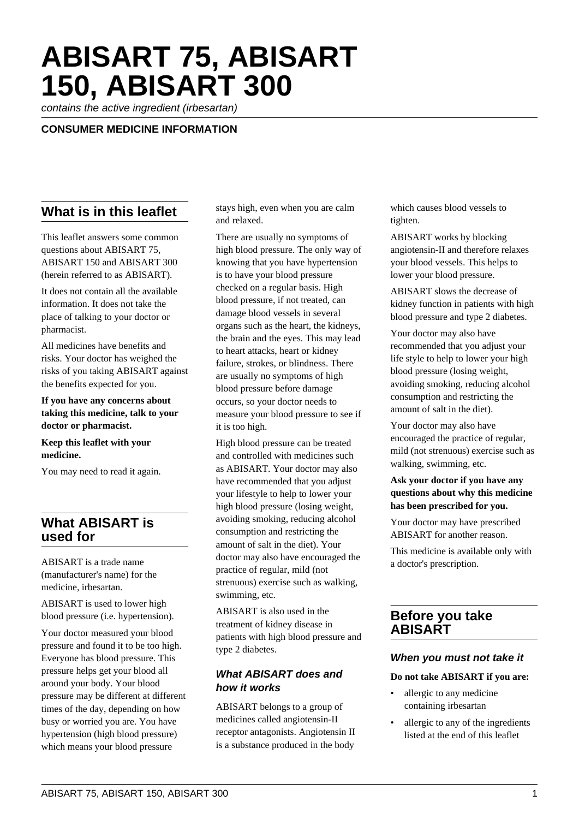# **ABISART 75, ABISART 150, ABISART 300**

contains the active ingredient (irbesartan)

#### **CONSUMER MEDICINE INFORMATION**

## **What is in this leaflet**

This leaflet answers some common questions about ABISART 75, ABISART 150 and ABISART 300 (herein referred to as ABISART).

It does not contain all the available information. It does not take the place of talking to your doctor or pharmacist.

All medicines have benefits and risks. Your doctor has weighed the risks of you taking ABISART against the benefits expected for you.

#### **If you have any concerns about taking this medicine, talk to your doctor or pharmacist.**

**Keep this leaflet with your medicine.**

You may need to read it again.

## **What ABISART is used for**

ABISART is a trade name (manufacturer's name) for the medicine, irbesartan.

ABISART is used to lower high blood pressure (i.e. hypertension).

Your doctor measured your blood pressure and found it to be too high. Everyone has blood pressure. This pressure helps get your blood all around your body. Your blood pressure may be different at different times of the day, depending on how busy or worried you are. You have hypertension (high blood pressure) which means your blood pressure

stays high, even when you are calm and relaxed.

There are usually no symptoms of high blood pressure. The only way of knowing that you have hypertension is to have your blood pressure checked on a regular basis. High blood pressure, if not treated, can damage blood vessels in several organs such as the heart, the kidneys, the brain and the eyes. This may lead to heart attacks, heart or kidney failure, strokes, or blindness. There are usually no symptoms of high blood pressure before damage occurs, so your doctor needs to measure your blood pressure to see if it is too high.

High blood pressure can be treated and controlled with medicines such as ABISART. Your doctor may also have recommended that you adjust your lifestyle to help to lower your high blood pressure (losing weight, avoiding smoking, reducing alcohol consumption and restricting the amount of salt in the diet). Your doctor may also have encouraged the practice of regular, mild (not strenuous) exercise such as walking, swimming, etc.

ABISART is also used in the treatment of kidney disease in patients with high blood pressure and type 2 diabetes.

#### **What ABISART does and how it works**

ABISART belongs to a group of medicines called angiotensin-II receptor antagonists. Angiotensin II is a substance produced in the body

which causes blood vessels to tighten.

ABISART works by blocking angiotensin-II and therefore relaxes your blood vessels. This helps to lower your blood pressure.

ABISART slows the decrease of kidney function in patients with high blood pressure and type 2 diabetes.

Your doctor may also have recommended that you adjust your life style to help to lower your high blood pressure (losing weight, avoiding smoking, reducing alcohol consumption and restricting the amount of salt in the diet).

Your doctor may also have encouraged the practice of regular, mild (not strenuous) exercise such as walking, swimming, etc.

#### **Ask your doctor if you have any questions about why this medicine has been prescribed for you.**

Your doctor may have prescribed ABISART for another reason.

This medicine is available only with a doctor's prescription.

#### **Before you take ABISART**

#### **When you must not take it**

#### **Do not take ABISART if you are:**

- allergic to any medicine containing irbesartan
- allergic to any of the ingredients listed at the end of this leaflet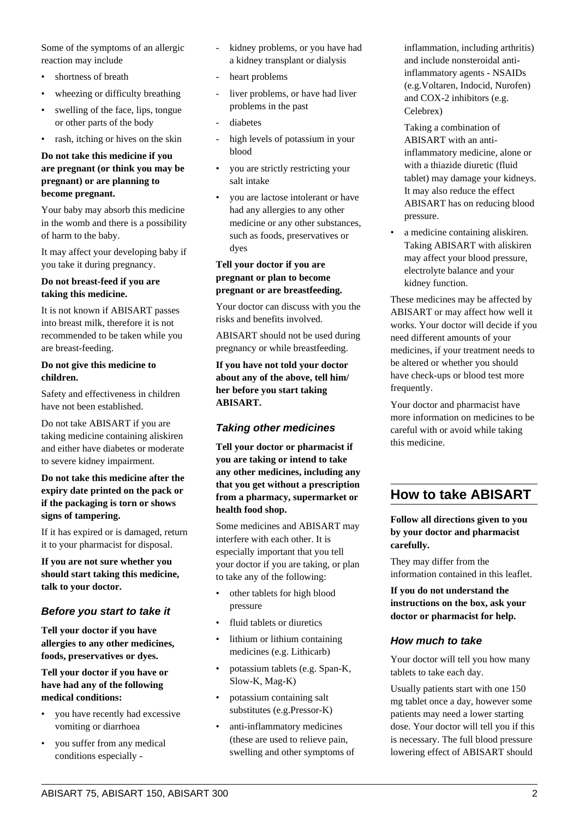Some of the symptoms of an allergic reaction may include

- shortness of breath
- wheezing or difficulty breathing
- swelling of the face, lips, tongue or other parts of the body
- rash, itching or hives on the skin

#### **Do not take this medicine if you are pregnant (or think you may be pregnant) or are planning to become pregnant.**

Your baby may absorb this medicine in the womb and there is a possibility of harm to the baby.

It may affect your developing baby if you take it during pregnancy.

#### **Do not breast-feed if you are taking this medicine.**

It is not known if ABISART passes into breast milk, therefore it is not recommended to be taken while you are breast-feeding.

#### **Do not give this medicine to children.**

Safety and effectiveness in children have not been established.

Do not take ABISART if you are taking medicine containing aliskiren and either have diabetes or moderate to severe kidney impairment.

#### **Do not take this medicine after the expiry date printed on the pack or if the packaging is torn or shows signs of tampering.**

If it has expired or is damaged, return it to your pharmacist for disposal.

**If you are not sure whether you should start taking this medicine, talk to your doctor.**

#### **Before you start to take it**

**Tell your doctor if you have allergies to any other medicines, foods, preservatives or dyes.**

**Tell your doctor if you have or have had any of the following medical conditions:**

- you have recently had excessive vomiting or diarrhoea
- you suffer from any medical conditions especially -
- kidney problems, or you have had a kidney transplant or dialysis
- heart problems
- liver problems, or have had liver problems in the past
- diabetes
- high levels of potassium in your blood
- you are strictly restricting your salt intake
- you are lactose intolerant or have had any allergies to any other medicine or any other substances, such as foods, preservatives or dyes

#### **Tell your doctor if you are pregnant or plan to become pregnant or are breastfeeding.**

Your doctor can discuss with you the risks and benefits involved.

ABISART should not be used during pregnancy or while breastfeeding.

**If you have not told your doctor about any of the above, tell him/ her before you start taking ABISART.**

#### **Taking other medicines**

**Tell your doctor or pharmacist if you are taking or intend to take any other medicines, including any that you get without a prescription from a pharmacy, supermarket or health food shop.**

Some medicines and ABISART may interfere with each other. It is especially important that you tell your doctor if you are taking, or plan to take any of the following:

- other tablets for high blood pressure
- fluid tablets or diuretics
- lithium or lithium containing medicines (e.g. Lithicarb)
- potassium tablets (e.g. Span-K, Slow-K, Mag-K)
- potassium containing salt substitutes (e.g.Pressor-K)
- anti-inflammatory medicines (these are used to relieve pain, swelling and other symptoms of

inflammation, including arthritis) and include nonsteroidal antiinflammatory agents - NSAIDs (e.g.Voltaren, Indocid, Nurofen) and COX-2 inhibitors (e.g. Celebrex)

 Taking a combination of ABISART with an antiinflammatory medicine, alone or with a thiazide diuretic (fluid tablet) may damage your kidneys. It may also reduce the effect ABISART has on reducing blood pressure.

• a medicine containing aliskiren. Taking ABISART with aliskiren may affect your blood pressure, electrolyte balance and your kidney function.

These medicines may be affected by ABISART or may affect how well it works. Your doctor will decide if you need different amounts of your medicines, if your treatment needs to be altered or whether you should have check-ups or blood test more frequently.

Your doctor and pharmacist have more information on medicines to be careful with or avoid while taking this medicine.

## **How to take ABISART**

**Follow all directions given to you by your doctor and pharmacist carefully.**

They may differ from the information contained in this leaflet.

**If you do not understand the instructions on the box, ask your doctor or pharmacist for help.**

#### **How much to take**

Your doctor will tell you how many tablets to take each day.

Usually patients start with one 150 mg tablet once a day, however some patients may need a lower starting dose. Your doctor will tell you if this is necessary. The full blood pressure lowering effect of ABISART should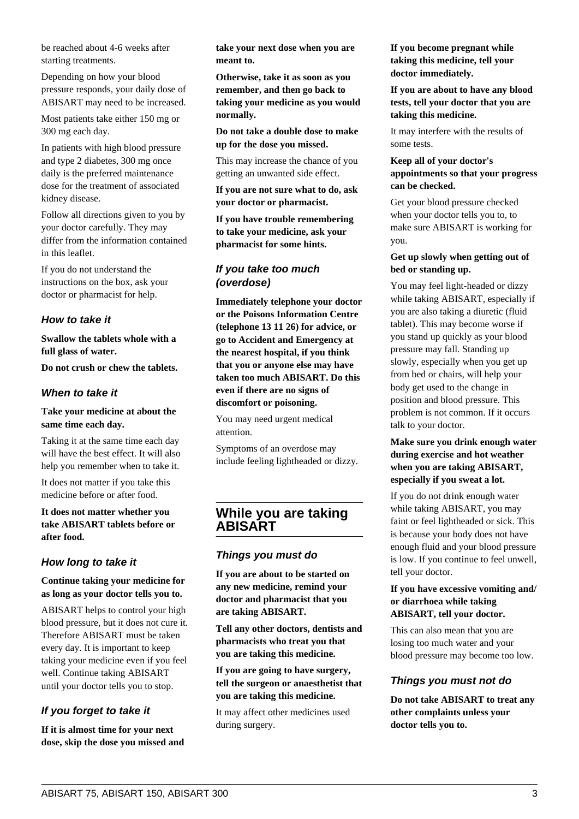be reached about 4-6 weeks after starting treatments.

Depending on how your blood pressure responds, your daily dose of ABISART may need to be increased.

Most patients take either 150 mg or 300 mg each day.

In patients with high blood pressure and type 2 diabetes, 300 mg once daily is the preferred maintenance dose for the treatment of associated kidney disease.

Follow all directions given to you by your doctor carefully. They may differ from the information contained in this leaflet.

If you do not understand the instructions on the box, ask your doctor or pharmacist for help.

#### **How to take it**

**Swallow the tablets whole with a full glass of water.**

**Do not crush or chew the tablets.**

#### **When to take it**

#### **Take your medicine at about the same time each day.**

Taking it at the same time each day will have the best effect. It will also help you remember when to take it.

It does not matter if you take this medicine before or after food.

#### **It does not matter whether you take ABISART tablets before or after food.**

#### **How long to take it**

#### **Continue taking your medicine for as long as your doctor tells you to.**

ABISART helps to control your high blood pressure, but it does not cure it. Therefore ABISART must be taken every day. It is important to keep taking your medicine even if you feel well. Continue taking ABISART until your doctor tells you to stop.

## **If you forget to take it**

**If it is almost time for your next dose, skip the dose you missed and** **take your next dose when you are meant to.**

**Otherwise, take it as soon as you remember, and then go back to taking your medicine as you would normally.**

**Do not take a double dose to make up for the dose you missed.**

This may increase the chance of you getting an unwanted side effect.

**If you are not sure what to do, ask your doctor or pharmacist.**

**If you have trouble remembering to take your medicine, ask your pharmacist for some hints.**

#### **If you take too much (overdose)**

**Immediately telephone your doctor or the Poisons Information Centre (telephone 13 11 26) for advice, or go to Accident and Emergency at the nearest hospital, if you think that you or anyone else may have taken too much ABISART. Do this even if there are no signs of discomfort or poisoning.**

You may need urgent medical attention.

Symptoms of an overdose may include feeling lightheaded or dizzy.

## **While you are taking ABISART**

#### **Things you must do**

**If you are about to be started on any new medicine, remind your doctor and pharmacist that you are taking ABISART.**

**Tell any other doctors, dentists and pharmacists who treat you that you are taking this medicine.**

**If you are going to have surgery, tell the surgeon or anaesthetist that you are taking this medicine.**

It may affect other medicines used during surgery.

#### **If you become pregnant while taking this medicine, tell your doctor immediately.**

**If you are about to have any blood tests, tell your doctor that you are taking this medicine.**

It may interfere with the results of some tests.

#### **Keep all of your doctor's appointments so that your progress can be checked.**

Get your blood pressure checked when your doctor tells you to, to make sure ABISART is working for you.

#### **Get up slowly when getting out of bed or standing up.**

You may feel light-headed or dizzy while taking ABISART, especially if you are also taking a diuretic (fluid tablet). This may become worse if you stand up quickly as your blood pressure may fall. Standing up slowly, especially when you get up from bed or chairs, will help your body get used to the change in position and blood pressure. This problem is not common. If it occurs talk to your doctor.

#### **Make sure you drink enough water during exercise and hot weather when you are taking ABISART, especially if you sweat a lot.**

If you do not drink enough water while taking ABISART, you may faint or feel lightheaded or sick. This is because your body does not have enough fluid and your blood pressure is low. If you continue to feel unwell, tell your doctor.

#### **If you have excessive vomiting and/ or diarrhoea while taking ABISART, tell your doctor.**

This can also mean that you are losing too much water and your blood pressure may become too low.

#### **Things you must not do**

**Do not take ABISART to treat any other complaints unless your doctor tells you to.**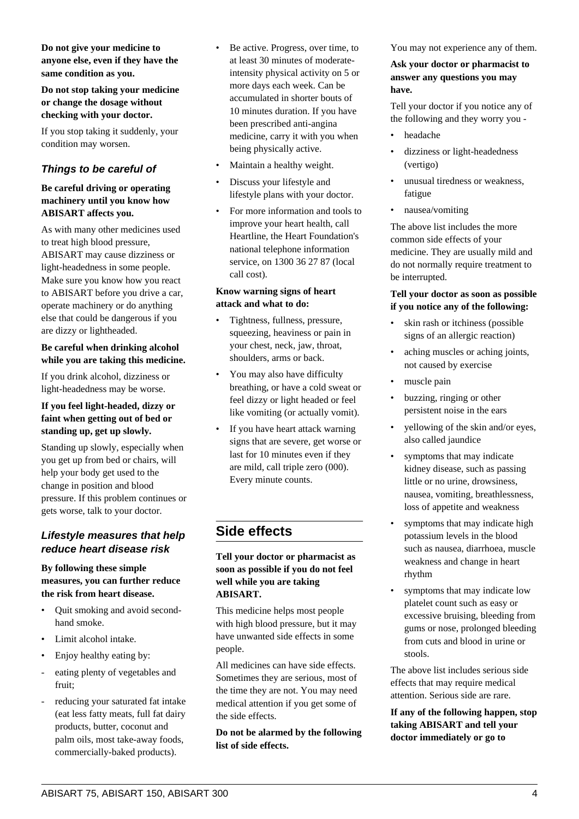**Do not stop taking your medicine or change the dosage without checking with your doctor.**

If you stop taking it suddenly, your condition may worsen.

#### **Things to be careful of**

#### **Be careful driving or operating machinery until you know how ABISART affects you.**

As with many other medicines used to treat high blood pressure, ABISART may cause dizziness or light-headedness in some people. Make sure you know how you react to ABISART before you drive a car, operate machinery or do anything else that could be dangerous if you are dizzy or lightheaded.

#### **Be careful when drinking alcohol while you are taking this medicine.**

If you drink alcohol, dizziness or light-headedness may be worse.

#### **If you feel light-headed, dizzy or faint when getting out of bed or standing up, get up slowly.**

Standing up slowly, especially when you get up from bed or chairs, will help your body get used to the change in position and blood pressure. If this problem continues or gets worse, talk to your doctor.

#### **Lifestyle measures that help reduce heart disease risk**

#### **By following these simple measures, you can further reduce the risk from heart disease.**

- Quit smoking and avoid secondhand smoke.
- Limit alcohol intake.
- Enjoy healthy eating by:
- eating plenty of vegetables and fruit;
- reducing your saturated fat intake (eat less fatty meats, full fat dairy products, butter, coconut and palm oils, most take-away foods, commercially-baked products).
- Be active. Progress, over time, to at least 30 minutes of moderateintensity physical activity on 5 or more days each week. Can be accumulated in shorter bouts of 10 minutes duration. If you have been prescribed anti-angina medicine, carry it with you when being physically active.
- Maintain a healthy weight.
- Discuss your lifestyle and lifestyle plans with your doctor.
- For more information and tools to improve your heart health, call Heartline, the Heart Foundation's national telephone information service, on 1300 36 27 87 (local call cost).

#### **Know warning signs of heart attack and what to do:**

- Tightness, fullness, pressure, squeezing, heaviness or pain in your chest, neck, jaw, throat, shoulders, arms or back.
- You may also have difficulty breathing, or have a cold sweat or feel dizzy or light headed or feel like vomiting (or actually vomit).
- If you have heart attack warning signs that are severe, get worse or last for 10 minutes even if they are mild, call triple zero (000). Every minute counts.

## **Side effects**

#### **Tell your doctor or pharmacist as soon as possible if you do not feel well while you are taking ABISART.**

This medicine helps most people with high blood pressure, but it may have unwanted side effects in some people.

All medicines can have side effects. Sometimes they are serious, most of the time they are not. You may need medical attention if you get some of the side effects.

**Do not be alarmed by the following list of side effects.**

You may not experience any of them.

#### **Ask your doctor or pharmacist to answer any questions you may have.**

Tell your doctor if you notice any of the following and they worry you -

- headache
- dizziness or light-headedness (vertigo)
- unusual tiredness or weakness, fatigue
- nausea/vomiting

The above list includes the more common side effects of your medicine. They are usually mild and do not normally require treatment to be interrupted.

#### **Tell your doctor as soon as possible if you notice any of the following:**

- skin rash or itchiness (possible signs of an allergic reaction)
- aching muscles or aching joints, not caused by exercise
- muscle pain
- buzzing, ringing or other persistent noise in the ears
- yellowing of the skin and/or eyes, also called jaundice
- symptoms that may indicate kidney disease, such as passing little or no urine, drowsiness, nausea, vomiting, breathlessness, loss of appetite and weakness
- symptoms that may indicate high potassium levels in the blood such as nausea, diarrhoea, muscle weakness and change in heart rhythm
- symptoms that may indicate low platelet count such as easy or excessive bruising, bleeding from gums or nose, prolonged bleeding from cuts and blood in urine or stools.

The above list includes serious side effects that may require medical attention. Serious side are rare.

**If any of the following happen, stop taking ABISART and tell your doctor immediately or go to**